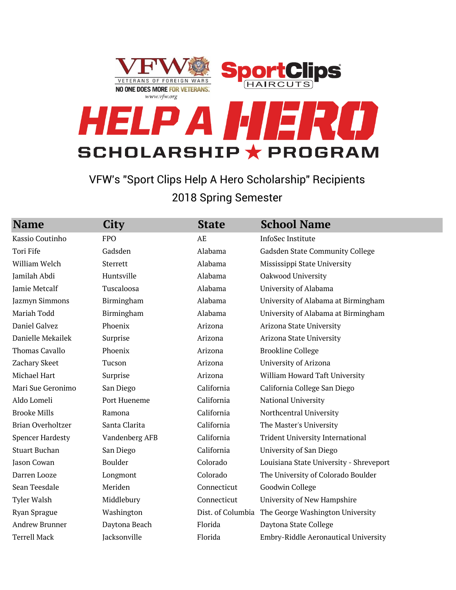

VFW's "Sport Clips Help A Hero Scholarship" Recipients 2018 Spring Semester

| <b>Name</b>             | <b>City</b>    | <b>State</b>      | <b>School Name</b>                      |
|-------------------------|----------------|-------------------|-----------------------------------------|
| Kassio Coutinho         | <b>FPO</b>     | AE                | InfoSec Institute                       |
| <b>Tori Fife</b>        | Gadsden        | Alabama           | Gadsden State Community College         |
| William Welch           | Sterrett       | Alabama           | Mississippi State University            |
| Jamilah Abdi            | Huntsville     | Alabama           | Oakwood University                      |
| Jamie Metcalf           | Tuscaloosa     | Alabama           | University of Alabama                   |
| Jazmyn Simmons          | Birmingham     | Alabama           | University of Alabama at Birmingham     |
| Mariah Todd             | Birmingham     | Alabama           | University of Alabama at Birmingham     |
| Daniel Galvez           | Phoenix        | Arizona           | Arizona State University                |
| Danielle Mekailek       | Surprise       | Arizona           | Arizona State University                |
| Thomas Cavallo          | Phoenix        | Arizona           | <b>Brookline College</b>                |
| Zachary Skeet           | Tucson         | Arizona           | University of Arizona                   |
| Michael Hart            | Surprise       | Arizona           | William Howard Taft University          |
| Mari Sue Geronimo       | San Diego      | California        | California College San Diego            |
| Aldo Lomeli             | Port Hueneme   | California        | National University                     |
| <b>Brooke Mills</b>     | Ramona         | California        | Northcentral University                 |
| Brian Overholtzer       | Santa Clarita  | California        | The Master's University                 |
| <b>Spencer Hardesty</b> | Vandenberg AFB | California        | <b>Trident University International</b> |
| <b>Stuart Buchan</b>    | San Diego      | California        | University of San Diego                 |
| Jason Cowan             | Boulder        | Colorado          | Louisiana State University - Shreveport |
| Darren Looze            | Longmont       | Colorado          | The University of Colorado Boulder      |
| Sean Teesdale           | Meriden        | Connecticut       | Goodwin College                         |
| <b>Tyler Walsh</b>      | Middlebury     | Connecticut       | University of New Hampshire             |
| Ryan Sprague            | Washington     | Dist. of Columbia | The George Washington University        |
| <b>Andrew Brunner</b>   | Daytona Beach  | Florida           | Daytona State College                   |
| <b>Terrell Mack</b>     | Jacksonville   | Florida           | Embry-Riddle Aeronautical University    |
|                         |                |                   |                                         |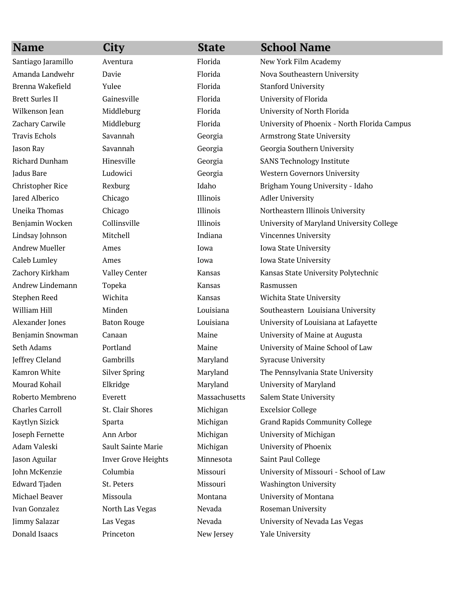| <b>Name</b>             | City                       | <b>State</b>  | <b>School Name</b>                           |
|-------------------------|----------------------------|---------------|----------------------------------------------|
| Santiago Jaramillo      | Aventura                   | Florida       | New York Film Academy                        |
| Amanda Landwehr         | Davie                      | Florida       | Nova Southeastern University                 |
| Brenna Wakefield        | Yulee                      | Florida       | <b>Stanford University</b>                   |
| <b>Brett Surles II</b>  | Gainesville                | Florida       | University of Florida                        |
| Wilkenson Jean          | Middleburg                 | Florida       | University of North Florida                  |
| Zachary Carwile         | Middleburg                 | Florida       | University of Phoenix - North Florida Campus |
| <b>Travis Echols</b>    | Savannah                   | Georgia       | <b>Armstrong State University</b>            |
| Jason Ray               | Savannah                   | Georgia       | Georgia Southern University                  |
| Richard Dunham          | Hinesville                 | Georgia       | <b>SANS Technology Institute</b>             |
| Jadus Bare              | Ludowici                   | Georgia       | <b>Western Governors University</b>          |
| <b>Christopher Rice</b> | Rexburg                    | Idaho         | Brigham Young University - Idaho             |
| Jared Alberico          | Chicago                    | Illinois      | <b>Adler University</b>                      |
| Uneika Thomas           | Chicago                    | Illinois      | Northeastern Illinois University             |
| Benjamin Wocken         | Collinsville               | Illinois      | University of Maryland University College    |
| Lindsay Johnson         | Mitchell                   | Indiana       | Vincennes University                         |
| <b>Andrew Mueller</b>   | Ames                       | Iowa          | Iowa State University                        |
| Caleb Lumley            | Ames                       | Iowa          | Iowa State University                        |
| Zachory Kirkham         | <b>Valley Center</b>       | Kansas        | Kansas State University Polytechnic          |
| Andrew Lindemann        | Topeka                     | Kansas        | Rasmussen                                    |
| Stephen Reed            | Wichita                    | Kansas        | Wichita State University                     |
| William Hill            | Minden                     | Louisiana     | Southeastern Louisiana University            |
| Alexander Jones         | <b>Baton Rouge</b>         | Louisiana     | University of Louisiana at Lafayette         |
| Benjamin Snowman        | Canaan                     | Maine         | University of Maine at Augusta               |
| Seth Adams              | Portland                   | Maine         | University of Maine School of Law            |
| Jeffrey Cleland         | Gambrills                  | Maryland      | <b>Syracuse University</b>                   |
| Kamron White            | <b>Silver Spring</b>       | Maryland      | The Pennsylvania State University            |
| Mourad Kohail           | Elkridge                   | Maryland      | University of Maryland                       |
| Roberto Membreno        | Everett                    | Massachusetts | Salem State University                       |
| <b>Charles Carroll</b>  | St. Clair Shores           | Michigan      | <b>Excelsior College</b>                     |
| Kaytlyn Sizick          | Sparta                     | Michigan      | <b>Grand Rapids Community College</b>        |
| Joseph Fernette         | Ann Arbor                  | Michigan      | University of Michigan                       |
| Adam Valeski            | Sault Sainte Marie         | Michigan      | University of Phoenix                        |
| Jason Aguilar           | <b>Inver Grove Heights</b> | Minnesota     | Saint Paul College                           |
| John McKenzie           | Columbia                   | Missouri      | University of Missouri - School of Law       |
| <b>Edward Tjaden</b>    | St. Peters                 | Missouri      | <b>Washington University</b>                 |
| Michael Beaver          | Missoula                   | Montana       | University of Montana                        |
| Ivan Gonzalez           | North Las Vegas            | Nevada        | Roseman University                           |
| Jimmy Salazar           | Las Vegas                  | Nevada        | University of Nevada Las Vegas               |
| Donald Isaacs           | Princeton                  | New Jersey    | Yale University                              |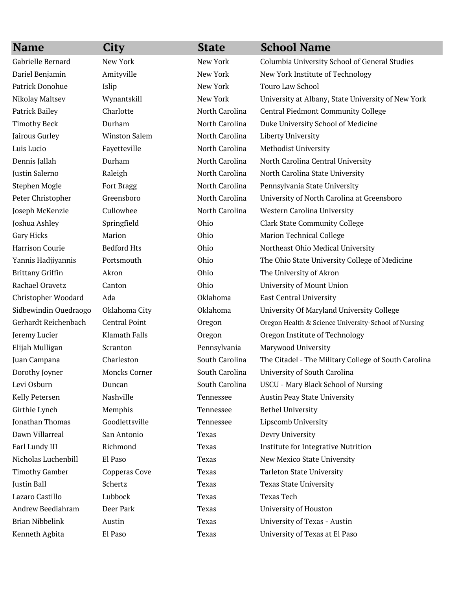| <b>Name</b>             | <b>City</b>          | <b>State</b>   | <b>School Name</b>                                   |
|-------------------------|----------------------|----------------|------------------------------------------------------|
| Gabrielle Bernard       | New York             | New York       | Columbia University School of General Studies        |
| Dariel Benjamin         | Amityville           | New York       | New York Institute of Technology                     |
| Patrick Donohue         | Islip                | New York       | Touro Law School                                     |
| Nikolay Maltsev         | Wynantskill          | New York       | University at Albany, State University of New York   |
| Patrick Bailey          | Charlotte            | North Carolina | <b>Central Piedmont Community College</b>            |
| <b>Timothy Beck</b>     | Durham               | North Carolina | Duke University School of Medicine                   |
| Jairous Gurley          | <b>Winston Salem</b> | North Carolina | Liberty University                                   |
| Luis Lucio              | Fayetteville         | North Carolina | Methodist University                                 |
| Dennis Jallah           | Durham               | North Carolina | North Carolina Central University                    |
| Justin Salerno          | Raleigh              | North Carolina | North Carolina State University                      |
| Stephen Mogle           | Fort Bragg           | North Carolina | Pennsylvania State University                        |
| Peter Christopher       | Greensboro           | North Carolina | University of North Carolina at Greensboro           |
| Joseph McKenzie         | Cullowhee            | North Carolina | Western Carolina University                          |
| Joshua Ashley           | Springfield          | Ohio           | <b>Clark State Community College</b>                 |
| Gary Hicks              | Marion               | Ohio           | <b>Marion Technical College</b>                      |
| Harrison Courie         | <b>Bedford Hts</b>   | Ohio           | Northeast Ohio Medical University                    |
| Yannis Hadjiyannis      | Portsmouth           | Ohio           | The Ohio State University College of Medicine        |
| <b>Brittany Griffin</b> | Akron                | Ohio           | The University of Akron                              |
| Rachael Oravetz         | Canton               | Ohio           | University of Mount Union                            |
| Christopher Woodard     | Ada                  | Oklahoma       | <b>East Central University</b>                       |
| Sidbewindin Ouedraogo   | Oklahoma City        | Oklahoma       | University Of Maryland University College            |
| Gerhardt Reichenbach    | <b>Central Point</b> | Oregon         | Oregon Health & Science University-School of Nursing |
| Jeremy Lucier           | <b>Klamath Falls</b> | Oregon         | Oregon Institute of Technology                       |
| Elijah Mulligan         | Scranton             | Pennsylvania   | Marywood University                                  |
| Juan Campana            | Charleston           | South Carolina | The Citadel - The Military College of South Carolina |
| Dorothy Joyner          | <b>Moncks Corner</b> | South Carolina | University of South Carolina                         |
| Levi Osburn             | Duncan               | South Carolina | <b>USCU - Mary Black School of Nursing</b>           |
| Kelly Petersen          | Nashville            | Tennessee      | <b>Austin Peay State University</b>                  |
| Girthie Lynch           | Memphis              | Tennessee      | <b>Bethel University</b>                             |
| Jonathan Thomas         | Goodlettsville       | Tennessee      | Lipscomb University                                  |
| Dawn Villarreal         | San Antonio          | Texas          | Devry University                                     |
| Earl Lundy III          | Richmond             | Texas          | Institute for Integrative Nutrition                  |
| Nicholas Luchenbill     | El Paso              | Texas          | New Mexico State University                          |
| <b>Timothy Gamber</b>   | Copperas Cove        | Texas          | <b>Tarleton State University</b>                     |
| Justin Ball             | Schertz              | Texas          | Texas State University                               |
| Lazaro Castillo         | Lubbock              | Texas          | Texas Tech                                           |
| Andrew Beediahram       | Deer Park            | Texas          | University of Houston                                |
| <b>Brian Nibbelink</b>  | Austin               | Texas          | University of Texas - Austin                         |
| Kenneth Agbita          | El Paso              | Texas          | University of Texas at El Paso                       |